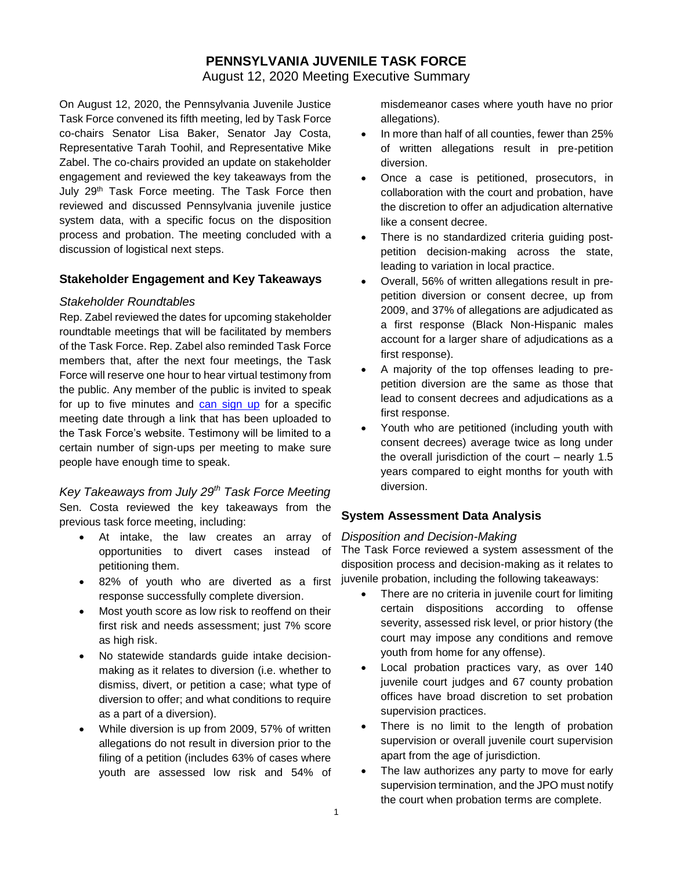# **PENNSYLVANIA JUVENILE TASK FORCE**

August 12, 2020 Meeting Executive Summary

On August 12, 2020, the Pennsylvania Juvenile Justice Task Force convened its fifth meeting, led by Task Force co-chairs Senator Lisa Baker, Senator Jay Costa, Representative Tarah Toohil, and Representative Mike Zabel. The co-chairs provided an update on stakeholder engagement and reviewed the key takeaways from the July 29<sup>th</sup> Task Force meeting. The Task Force then reviewed and discussed Pennsylvania juvenile justice system data, with a specific focus on the disposition process and probation. The meeting concluded with a discussion of logistical next steps.

#### **Stakeholder Engagement and Key Takeaways**

#### *Stakeholder Roundtables*

Rep. Zabel reviewed the dates for upcoming stakeholder roundtable meetings that will be facilitated by members of the Task Force. Rep. Zabel also reminded Task Force members that, after the next four meetings, the Task Force will reserve one hour to hear virtual testimony from the public. Any member of the public is invited to speak for up to five minutes and [can sign up](https://surveys.az1.qualtrics.com/jfe/form/SV_6r2DP3xhZym8oE5) for a specific meeting date through a link that has been uploaded to the Task Force's website. Testimony will be limited to a certain number of sign-ups per meeting to make sure people have enough time to speak.

*Key Takeaways from July 29th Task Force Meeting* Sen. Costa reviewed the key takeaways from the previous task force meeting, including:

- At intake, the law creates an array of opportunities to divert cases instead of petitioning them.
- 82% of youth who are diverted as a first response successfully complete diversion.
- Most youth score as low risk to reoffend on their first risk and needs assessment; just 7% score as high risk.
- No statewide standards guide intake decisionmaking as it relates to diversion (i.e. whether to dismiss, divert, or petition a case; what type of diversion to offer; and what conditions to require as a part of a diversion).
- While diversion is up from 2009, 57% of written allegations do not result in diversion prior to the filing of a petition (includes 63% of cases where youth are assessed low risk and 54% of

misdemeanor cases where youth have no prior allegations).

- In more than half of all counties, fewer than 25% of written allegations result in pre-petition diversion.
- Once a case is petitioned, prosecutors, in collaboration with the court and probation, have the discretion to offer an adjudication alternative like a consent decree.
- There is no standardized criteria guiding postpetition decision-making across the state, leading to variation in local practice.
- Overall, 56% of written allegations result in prepetition diversion or consent decree, up from 2009, and 37% of allegations are adjudicated as a first response (Black Non-Hispanic males account for a larger share of adjudications as a first response).
- A majority of the top offenses leading to prepetition diversion are the same as those that lead to consent decrees and adjudications as a first response.
- Youth who are petitioned (including youth with consent decrees) average twice as long under the overall jurisdiction of the court – nearly 1.5 years compared to eight months for youth with diversion.

## **System Assessment Data Analysis**

#### *Disposition and Decision-Making*

The Task Force reviewed a system assessment of the disposition process and decision-making as it relates to juvenile probation, including the following takeaways:

- There are no criteria in juvenile court for limiting certain dispositions according to offense severity, assessed risk level, or prior history (the court may impose any conditions and remove youth from home for any offense).
- Local probation practices vary, as over 140 juvenile court judges and 67 county probation offices have broad discretion to set probation supervision practices.
- There is no limit to the length of probation supervision or overall juvenile court supervision apart from the age of jurisdiction.
- The law authorizes any party to move for early supervision termination, and the JPO must notify the court when probation terms are complete.